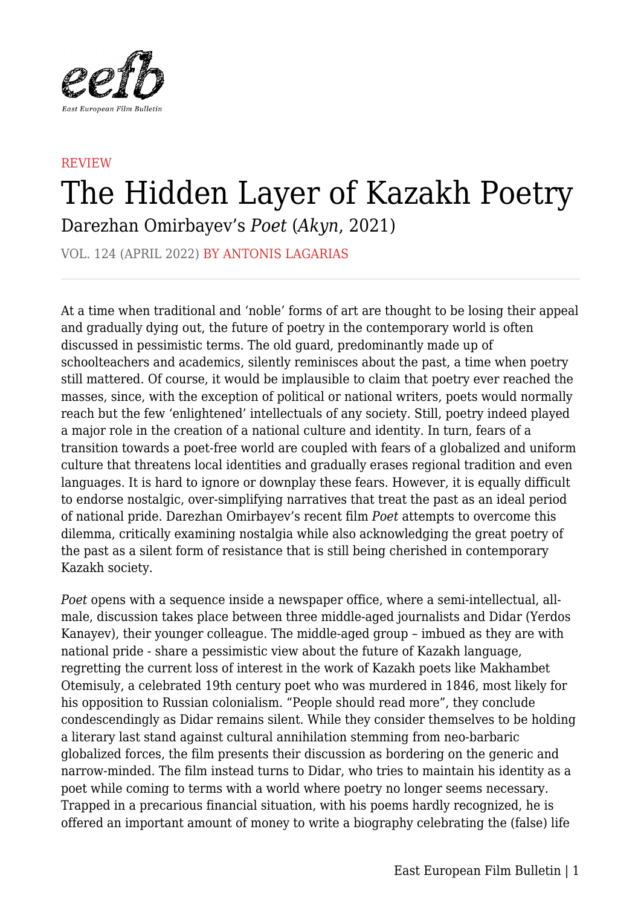

## **REVIEW** The Hidden Layer of Kazakh Poetry

Darezhan Omirbayev's *Poet* (*Akyn*, 2021)

VOL. 124 (APRIL 2022) BY ANTONIS LAGARIAS

At a time when traditional and 'noble' forms of art are thought to be losing their appeal and gradually dying out, the future of poetry in the contemporary world is often discussed in pessimistic terms. The old guard, predominantly made up of schoolteachers and academics, silently reminisces about the past, a time when poetry still mattered. Of course, it would be implausible to claim that poetry ever reached the masses, since, with the exception of political or national writers, poets would normally reach but the few 'enlightened' intellectuals of any society. Still, poetry indeed played a major role in the creation of a national culture and identity. In turn, fears of a transition towards a poet-free world are coupled with fears of a globalized and uniform culture that threatens local identities and gradually erases regional tradition and even languages. It is hard to ignore or downplay these fears. However, it is equally difficult to endorse nostalgic, over-simplifying narratives that treat the past as an ideal period of national pride. Darezhan Omirbayev's recent film *Poet* attempts to overcome this dilemma, critically examining nostalgia while also acknowledging the great poetry of the past as a silent form of resistance that is still being cherished in contemporary Kazakh society.

*Poet* opens with a sequence inside a newspaper office, where a semi-intellectual, allmale, discussion takes place between three middle-aged journalists and Didar (Yerdos Kanayev), their younger colleague. The middle-aged group – imbued as they are with national pride - share a pessimistic view about the future of Kazakh language, regretting the current loss of interest in the work of Kazakh poets like Makhambet Otemisuly, a celebrated 19th century poet who was murdered in 1846, most likely for his opposition to Russian colonialism. "People should read more", they conclude condescendingly as Didar remains silent. While they consider themselves to be holding a literary last stand against cultural annihilation stemming from neo-barbaric globalized forces, the film presents their discussion as bordering on the generic and narrow-minded. The film instead turns to Didar, who tries to maintain his identity as a poet while coming to terms with a world where poetry no longer seems necessary. Trapped in a precarious financial situation, with his poems hardly recognized, he is offered an important amount of money to write a biography celebrating the (false) life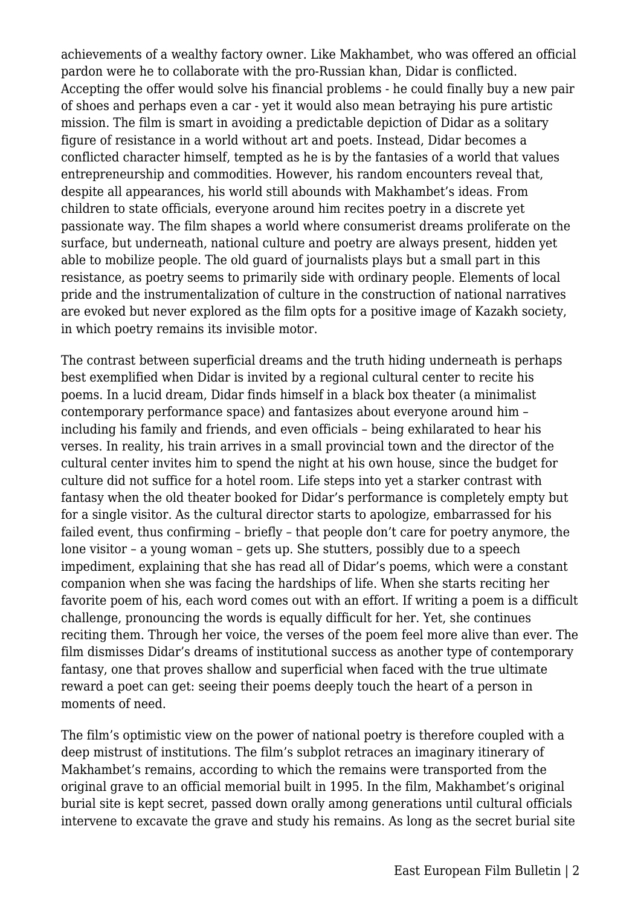achievements of a wealthy factory owner. Like Makhambet, who was offered an official pardon were he to collaborate with the pro-Russian khan, Didar is conflicted. Accepting the offer would solve his financial problems - he could finally buy a new pair of shoes and perhaps even a car - yet it would also mean betraying his pure artistic mission. The film is smart in avoiding a predictable depiction of Didar as a solitary figure of resistance in a world without art and poets. Instead, Didar becomes a conflicted character himself, tempted as he is by the fantasies of a world that values entrepreneurship and commodities. However, his random encounters reveal that, despite all appearances, his world still abounds with Makhambet's ideas. From children to state officials, everyone around him recites poetry in a discrete yet passionate way. The film shapes a world where consumerist dreams proliferate on the surface, but underneath, national culture and poetry are always present, hidden yet able to mobilize people. The old guard of journalists plays but a small part in this resistance, as poetry seems to primarily side with ordinary people. Elements of local pride and the instrumentalization of culture in the construction of national narratives are evoked but never explored as the film opts for a positive image of Kazakh society, in which poetry remains its invisible motor.

The contrast between superficial dreams and the truth hiding underneath is perhaps best exemplified when Didar is invited by a regional cultural center to recite his poems. In a lucid dream, Didar finds himself in a black box theater (a minimalist contemporary performance space) and fantasizes about everyone around him – including his family and friends, and even officials – being exhilarated to hear his verses. In reality, his train arrives in a small provincial town and the director of the cultural center invites him to spend the night at his own house, since the budget for culture did not suffice for a hotel room. Life steps into yet a starker contrast with fantasy when the old theater booked for Didar's performance is completely empty but for a single visitor. As the cultural director starts to apologize, embarrassed for his failed event, thus confirming – briefly – that people don't care for poetry anymore, the lone visitor – a young woman – gets up. She stutters, possibly due to a speech impediment, explaining that she has read all of Didar's poems, which were a constant companion when she was facing the hardships of life. When she starts reciting her favorite poem of his, each word comes out with an effort. If writing a poem is a difficult challenge, pronouncing the words is equally difficult for her. Yet, she continues reciting them. Through her voice, the verses of the poem feel more alive than ever. The film dismisses Didar's dreams of institutional success as another type of contemporary fantasy, one that proves shallow and superficial when faced with the true ultimate reward a poet can get: seeing their poems deeply touch the heart of a person in moments of need.

The film's optimistic view on the power of national poetry is therefore coupled with a deep mistrust of institutions. The film's subplot retraces an imaginary itinerary of Makhambet's remains, according to which the remains were transported from the original grave to an official memorial built in 1995. In the film, Makhambet's original burial site is kept secret, passed down orally among generations until cultural officials intervene to excavate the grave and study his remains. As long as the secret burial site